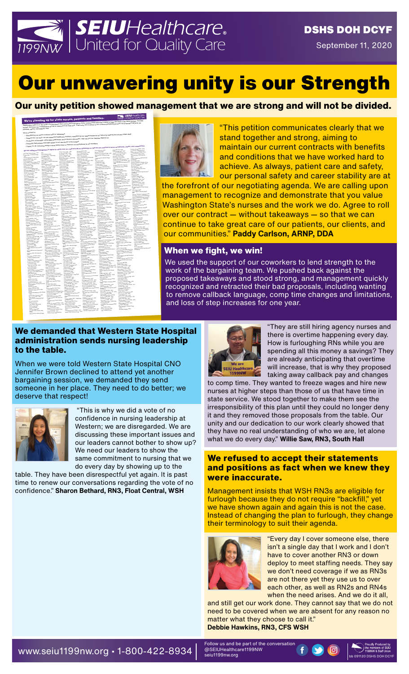

# **Our unwavering unity is our Strength**

# **Our unity petition showed management that we are strong and will not be divided.**

#### We're standing up for state nurses, patients and families. **Wy of the Standarusy up to the exercise and acceptance of programmation and has created a huge shortfull in the state bright. As state of the state of the state of the state of the state of the state of the state of contr** We're united for: Maintaining our whole contract with no takeaways

. Maintaining our whole contract with no takeaways<br>. Respect for our work; we are essential healthcare workers, maintaining our wages supports our future by helping recruit and retain staff<br>. Respect for our work; we are e Protection of benefits—affordable healthcare and a secure retirement—that we and our families depend on.<br>Protection of benefits—affordable healthcare and a secure retirement—that we and our families depend on. Ensuring that patient and staff safety is not sacrificed to the budget

. Ensuring that persent eind auxiliances,<br>Equity for all, including using a racial justice lens to improve our workplaces for all members **We are calling on management to agree to rolling over our contract with no takeaways so that we can continue to serve our patients, clients, and communities.** Patricia Zobrist Lakeland Village Lizbeth Radosevich Yakima RCS Barbara Jackson Arlington Office Patricia Carlson Spokane DDA Camilla Johnson ESH - 3007 Lindsey Ekland WSH Korey Martin WSH Emily Vincent Kent Office Poulline-Jaun Castillo Nursing Care Karen Nichols JRA Echo Glen - 3001 - 3010 Wesley Miller ESH - 3007 Megan Wylie Arlington Office Dawn Hiseley ESH - 3007 Denise Martinez CSTC - Child Study Jomar Balgos Lynwood Office Marta Peetz Lakeland Village - <sup>3012</sup> Barbara Anderson Lakeland Village - 3012 Kyle Knapp ESH - 3007 Emilio Ramirez ESH - 3007 Lisa Tilley JRA Green Hill - 3003 Michelle Erdem Lakeland Village - 3012 Angelina Garrido WSH Theresa Kochevar Spokane RCS Jana Welp Lakeland Village - <sup>3012</sup> Barbara Salatich ESH - 3007 Julie Mizuyabu WSH Ghedei Kebreab Fircrest School Officers Suzanne Taylor JRA Green Hill - Jevahly Wark Leslie Crystal ESH - 3007 James Forsman ESH - 3007 Timothy Gunnip JRA Naselle - 3004 Patricia Marshall Lakeland Village - 3012 Aileen Ansley WSH Brenda Cisneros ESH - 3007 Marnie Rathbun Nursing Consultant Brenda Selvidge Yakima Valley Bereket Gebrekidan Fircrest School - 3010 Denise Nolan Tumwater Office Adam DeWalt ESH - 3007 Sherry Gilman Lakeland Village - Ray Archivido WSH Catherine Estrera Cynthia Ortega WSH Tambatha Wilks Yakima Valley Hollie Viernes Lakeland Village - Lewis Newman Dept of Child Youth Shari McConnon WSH Mischa Tuell Lakeland Village - <sup>3012</sup> Veronica Palmer ESH - 3007 Vicky Swift ESH - 3007 Henry Chumba Nursing Consultant Jennifer Olmstead Lakeland Village Roberta Lucas WSH Jesse Hughes Lakeland Village - Deidre Mance Rainier School - 3011 Josephine Barrera Lakeland Village - 3012 Donna Ross Fircrest School - 3010 Mercedes Carrion ADSA - 3000 James Cook WSH Jasvir Kaur WSH Kristina Fasel Lakeland Village - Laurine Plews DOH - 3030 Maria Rosales WSH Gretchen Magcalas Seattle Office Marrie Hasek-Laurin Rainier School - 3011 Caroline Ngulube WSH Kismet Simundson ESH - 3007 Tracie Lilienthal Lakeland Village - 3012 Andrea Adams ESH - 3007 Winnie Bromley WSH Debra Walker Lakeland Village - Caleb Millican ESH - 3007 Gurdev Gill Rainier School - 3011 Michael Ellis Lakeland Village - <sup>3012</sup> Brian Rizzieri Steilacoom Office Jodinne Olsen Lakeland Village - Bonifacio Fornillos WSH Debbie Kaupp Smokey Point Office Bat-Sheva Stein DOH Tumwater Your Chitekee Vancouver Office Lawrence Hampson ESH - 3007 Casandra Tran WSH Colleen Gary Lakeland Village - Carol Harless Lakeland Village - Sharon Stephens Kent Office Lisa Restrepo-Bond WSH Woodetta Maulana Lakewood Office Karen Barde Rainier School - 3011 Evangeline Mora Fircrest School - 3010 Shelley Oly Lakeland Village - <sup>3012</sup> Erica Horton Lakeland Village - <sup>3012</sup> Samikchya Acharya WSH Jessica Bruno Mt. Vernon Office Justin Forth ESH - 3007 Jolene Haskins ESH - 3007 Ann Borgman ESH - 3007 Autumn Payne ESH - 3007 Miryah Petroff CSTC - Child Study Treatment Center Linda Bullock Lakewood Office Monika Glover Arlington Office Gizelle Mailig WSH Jason Johnson JRA Green Hill - Carol Angeli ESH - 3007 Deanna Dugdale ESH - 3007 Denise Allison Lakeland Village - Nathan Cates Lakeland Village - Eddah Tangasi WSH Celeste Kier Nursing Consultant Jasmine Maxey ESH - 3007 Mark Daniels Rainier School - 3011 - 3010 Patricia Moody Lakeland Village Kimberly D'Silva WSH Deborah Barrette DOH Tumwater Joni Roman Arlington Office Ben Lahav ESH - 3007 Stephanie Kennison WSH Rogelio Trajano WSH Robert Gutierrez Yakima Office Magdalena Rogojan Fircrest School - 3010 Jennifer Hills Lakeland Village - Julie Plopper ESH - 3007 Mary Furchner Lakeland Village - Krista Connelly Walla Walla Office Mary Hewankorn ESH - 3007 John Alderson WSH Leah Johnson ESH - 3007 Debbie Gooder WSH Hearee Jung ESH - 3007 Susan Ballinger ESH - 3007 Rebecca Hansen ESH - 3007 Arlene Sobhani Rainier School - Victoria Holmes CSTC - Child Study Treatment Center Denetta Uzzell Kent Office Amy Berg Lakeland Village - <sup>3012</sup> Dianne Davis Lakeland Village - David Zane Fircrest School - 3010 Kortne Reed Lakeland Village - <sup>3012</sup> Susan Naipanoi ESH - 3007 Stephanie Campen WSH Cherry Quirante WSH Steven Ondrashek Fort Steilacoom Jill Brenner JRA Green Hill - 3003 Tanya Bittner ESH - 3007 Yergalem Gebremichael Fircrest Amy Cole Nursing Consultant Cindy Dudley ESH - 3007 Negasi Andemariam Fircrest School Any Fisherians First and School -Susan Mbagara WSH Georgianna Bertomeu Arlington Christopher Stephens ADSA - 3000 Charles Hawkins JRA Green Hill - 3003 Pamala Silvers ESH - 3007 Miguela Rabino WSH Mark Sweeney Lakeland Village - Paul Luster JRA Green Hill - 3003 Myong Park Fircrest School - 3010 Michele Pozzi ESH - 3007 Jada Lynn DOH Tumwater Jessica Bastine ESH - 3007 Bethlehem Shiferaw Fircrest School Christine Odachowski Kent Office Tamara Baker Wagner Kent Office Sara Nash Nursing Consultant Michael Soper Christopher Thorkildsen CSTC - Child Study Treatment Center Jacqueline Ciolli JRA Green Hill - Shana Johnny DOH Tumwater Patricia Squires Rainier School - Shahla Dashtestani Fircrest School - 3010 Christopher Martin ESH - 3007 Pamela Osterman Kent Office Christine Lackey ESH - 3007 Susan McMinn Seattle DDA HQ Hyrum Candland ESH - 3007 Cara Heidloff-Peters Rainier School - 3011 Donald Aakervik ESH - 3007 Olga Zelentsova Lakeland Village Kymberley Giglio ESH - 3007 Claire Matthews WSH Lucy Fromherz Yakima RCS Tami Boelter Rainier School - 3011 Land Ross Rainier School - 3011 Rosana Ward WSH Sandra Fast Lakeland Village - <sup>3012</sup> Dena Dunken Lakeland Village - Joseph Chrisp Lakeland Village - Christina Dojoles-Omolon Nadine Shon Lakewood Office Kelly Temby-Sturtevant Spokane Cristina Hall ESH - 3007 Paula Sage Lakeland Village - <sup>3012</sup> Lisa Digiacomo WSH Young Goering WSH Amy Von Borstel WSH Manprit Jhutti Fircrest School - 3010 Nanette Dela Torre WSH Kris Belshaw Emily Ward CSTC - Child Study Keith Peterson ESH - 3007 Julie Savard ESH - 3007 Lisa Harting Spokane RCS Ashley Jones Lakeland Village - Liza Rodriguez CSTC - Child Study Katherine Graff DOH Tumwater Rachael Beargeon ESH - 3007 Yunkeong Heo Fircrest School - Cheryl Longhofer ESH - 3007 - 3012 Olga Ivanov Lakeland Village - <sup>3012</sup> Patti Eastep ESH - 3007 Cecilia Hardy CSTC - Child Study Joshua Hammac ESH - 3007 Susan Aromi Kent Office Robin Rainville Nursing Consultant Paramjit Dhillon WSH Jessica Laird ESH - 3007 Katherine Davidson Fort Steilacoom Karen Maher Lakeland Village - <sup>3012</sup> Ayelech Dubale Fircrest School - Angela Looft ESH - 3007 Kayelanni Demayo CSTC - Child Traci McKenzie Lakeland Village - 3012 Brandee Rogers Lakeland Village Catherine Beatty ESH - 3007 Judith Hester ESH - 3007 Michelle Bentz Nursing Consultant Gillian Davis JRA Green Hill - 3003 Barbara Allbery ESH - 3007 Elizabeth Perry ESH - 3007 Alan Jackson ESH - 3007 James Knight CSTC - Child Study Myong Maassen Lakeland Village Joshua Phillips ESH - 3007 Jennifer Farria Seattle Office Karen Hainley ESH - 3007 YunYun Lu Lakewood Office Consultant Institutional Immaculee Mukakalisa ESH - 3007 Connie Scheel Steilacoom Office Rochelle Bobbe Nursing Consultant Maribel Horne Fircrest School - 3010 Trang Kuss DOH Tumwater Cheryl Smith ESH - 3007 Pamela Holt Yakima RCS Etsegenet Mengesha Fircrest School - 3010 Alganesh Ghebre Fircrest School - 3010 Bryon Rain DOH - 3030 Sheryl Gosser ESH - 3007 Maureen Reardon ESH - 3007 Patricia Zimmer Colfax Office Stacey Manley ESH - 3007 Marilyn Schmall ESH - 3007 Olga Hleborod Rainier School - 3011 Ogechi Okoroafor WSH Jane Sairo Yakima Valley School Melinda Lauber Lakeland Village Leyla Lashgari Lakeland Village - Jasmin Jimenez WSH Susan Cronkhite Steilacoom Office Bonnie Campbell Fort Steilacoom Rommel Calimlim Fircrest School - 3010 Hayley Pinkham Nursing Consultant Kathleen Crossen Tumwater Office Helen McFarland Rainier School Debbie Hawkins WSH Francis Cabaluna ESH - 3007 Anjela Forsman ESH - 3007 Monique Sartain ESH - 3007 David Purdy Lakeland Village - <sup>3012</sup> Lisa Davis Lakeland Village - <sup>3012</sup> Matthew Burson ESH - 3007 Cheryl Plymale Rainier School - 3011 Juli Stehr ESH - 3007 Lorrinda Peterson Nursing Mary Hainline ESH - 3007 Jeffrey Zobrist ESH - 3007 Krista Franco Rainier School - 3011 Tekle Eysadik Fircrest School - 3010 Debra Bergquam ESH - 3007 Siridit Spengler Lakeland Village Suzanna Griswold ESH - 3007 Jamie Fechtner JRA Green Hill - Arlene Calague Nursing Consultant Zwelithini Mabhena Arlington Office Kraig Vanden Branden ESH - 3007 Son Oehler ESH - 3007 Chadwick Tabada WSH Timothy Lewis ESH - 3007 Joseph Hansen ESH - 3007 Greg Gilbert ESH - 3007 Roberta Kuster ESH - 3007 Lori Barney DOH Tumwater Elizabeth Coleman Fircrest School Viktor Kopytin Lakeland Village - Nancy Schroff CSTC - Child Study Holly Lakey WSH Nataliya Yakimenko Lakewood Winnie Wanjiru WSH Betelihem Yerga Fircrest School Geraldine Cole WSH Traci Schilling Tumwater Office Onnika Merkle ESH - 3007 Marrellie Calimlim Fircrest School Hailey Cross ESH - 3007 Fikirte Setargew Fircrest School Ederico Mariano WSH Mavis Downing Kent Office Thomas Forkgen Kent Office **Office** Maria Lynch WSH Donna De Vore Nursing Consultant



"This petition communicates clearly that we stand together and strong, aiming to maintain our current contracts with benefits and conditions that we have worked hard to achieve. As always, patient care and safety, our personal safety and career stability are at

the forefront of our negotiating agenda. We are calling upon management to recognize and demonstrate that you value Washington State's nurses and the work we do. Agree to roll over our contract — without takeaways — so that we can continue to take great care of our patients, our clients, and our communities." **Paddy Carlson, ARNP, DDA**

## **When we fight, we win!**

We used the support of our coworkers to lend strength to the work of the bargaining team. We pushed back against the proposed takeaways and stood strong, and management quickly recognized and retracted their bad proposals, including wanting to remove callback language, comp time changes and limitations, and loss of step increases for one year.

### **We demanded that Western State Hospital administration sends nursing leadership to the table.**

When we were told Western State Hospital CNO Jennifer Brown declined to attend yet another bargaining session, we demanded they send someone in her place. They need to do better; we deserve that respect!



 "This is why we did a vote of no confidence in nursing leadership at Western; we are disregarded. We are discussing these important issues and our leaders cannot bother to show up? We need our leaders to show the same commitment to nursing that we do every day by showing up to the

table. They have been disrespectful yet again. It is past time to renew our conversations regarding the vote of no confidence." **Sharon Bethard, RN3, Float Central, WSH**



"They are still hiring agency nurses and there is overtime happening every day. How is furloughing RNs while you are spending all this money a savings? They are already anticipating that overtime will increase, that is why they proposed taking away callback pay and changes

to comp time. They wanted to freeze wages and hire new nurses at higher steps than those of us that have time in state service. We stood together to make them see the irresponsibility of this plan until they could no longer deny it and they removed those proposals from the table. Our unity and our dedication to our work clearly showed that they have no real understanding of who we are, let alone what we do every day." **Willie Saw, RN3, South Hall**

#### **We refused to accept their statements and positions as fact when we knew they were inaccurate.**

Management insists that WSH RN3s are eligible for furlough because they do not require "backfill," yet we have shown again and again this is not the case. Instead of changing the plan to furlough, they change their terminology to suit their agenda.



"Every day I cover someone else, there isn't a single day that I work and I don't have to cover another RN3 or down deploy to meet staffing needs. They say we don't need coverage if we as RN3s are not there yet they use us to over each other, as well as RN2s and RN4s when the need arises. And we do it all,

and still get our work done. They cannot say that we do not need to be covered when we are absent for any reason no matter what they choose to call it." **Debbie Hawkins, RN3, CFS WSH**

Follow us and be part of the conversation @SEIUHealthcare1199NW seiu1199nw.org